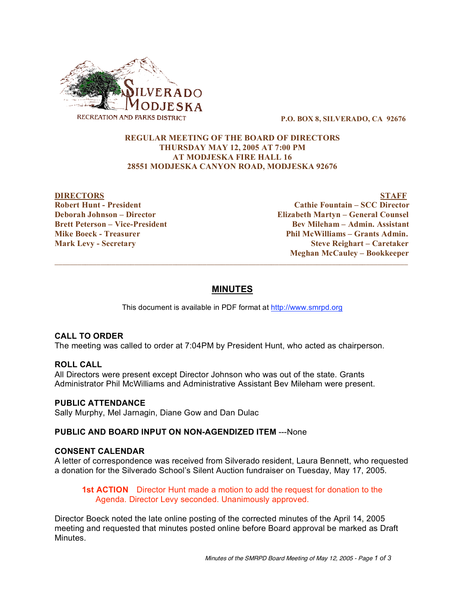

**P.O. BOX 8, SILVERADO, CA 92676**

## **REGULAR MEETING OF THE BOARD OF DIRECTORS THURSDAY MAY 12, 2005 AT 7:00 PM AT MODJESKA FIRE HALL 16 28551 MODJESKA CANYON ROAD, MODJESKA 92676**

**DIRECTORS STAFF Robert Hunt - President Cathie Fountain – SCC Director Deborah Johnson – Director Elizabeth Martyn – General Counsel Brett Peterson – Vice-President Bev Mileham – Admin. Assistant Mike Boeck - Treasurer Phil McWilliams – Grants Admin. Mark Levy - Secretary Steve Reighart – Caretaker Meghan McCauley – Bookkeeper**

# **MINUTES**

 $\overline{\phantom{a}}$  ,  $\overline{\phantom{a}}$  ,  $\overline{\phantom{a}}$  ,  $\overline{\phantom{a}}$  ,  $\overline{\phantom{a}}$  ,  $\overline{\phantom{a}}$  ,  $\overline{\phantom{a}}$  ,  $\overline{\phantom{a}}$  ,  $\overline{\phantom{a}}$  ,  $\overline{\phantom{a}}$  ,  $\overline{\phantom{a}}$  ,  $\overline{\phantom{a}}$  ,  $\overline{\phantom{a}}$  ,  $\overline{\phantom{a}}$  ,  $\overline{\phantom{a}}$  ,  $\overline{\phantom{a}}$ 

This document is available in PDF format at http://www.smrpd.org

## **CALL TO ORDER**

The meeting was called to order at 7:04PM by President Hunt, who acted as chairperson.

#### **ROLL CALL**

All Directors were present except Director Johnson who was out of the state. Grants Administrator Phil McWilliams and Administrative Assistant Bev Mileham were present.

#### **PUBLIC ATTENDANCE**

Sally Murphy, Mel Jarnagin, Diane Gow and Dan Dulac

#### **PUBLIC AND BOARD INPUT ON NON-AGENDIZED ITEM** ---None

## **CONSENT CALENDAR**

A letter of correspondence was received from Silverado resident, Laura Bennett, who requested a donation for the Silverado School's Silent Auction fundraiser on Tuesday, May 17, 2005.

## **1st ACTION** Director Hunt made a motion to add the request for donation to the Agenda. Director Levy seconded. Unanimously approved.

Director Boeck noted the late online posting of the corrected minutes of the April 14, 2005 meeting and requested that minutes posted online before Board approval be marked as Draft Minutes.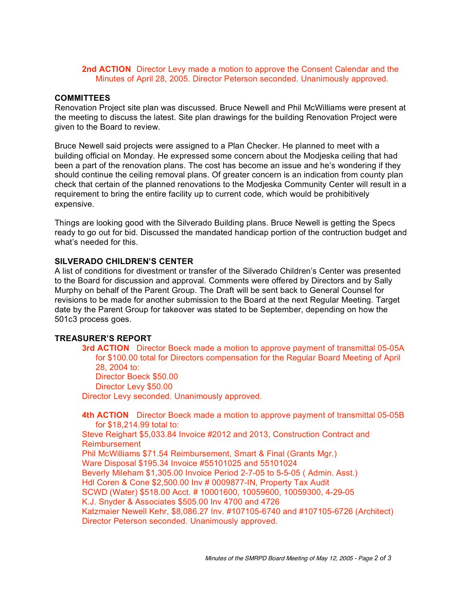## **2nd ACTION** Director Levy made a motion to approve the Consent Calendar and the Minutes of April 28, 2005. Director Peterson seconded. Unanimously approved.

## **COMMITTEES**

Renovation Project site plan was discussed. Bruce Newell and Phil McWilliams were present at the meeting to discuss the latest. Site plan drawings for the building Renovation Project were given to the Board to review.

Bruce Newell said projects were assigned to a Plan Checker. He planned to meet with a building official on Monday. He expressed some concern about the Modjeska ceiling that had been a part of the renovation plans. The cost has become an issue and he's wondering if they should continue the ceiling removal plans. Of greater concern is an indication from county plan check that certain of the planned renovations to the Modjeska Community Center will result in a requirement to bring the entire facility up to current code, which would be prohibitively expensive.

Things are looking good with the Silverado Building plans. Bruce Newell is getting the Specs ready to go out for bid. Discussed the mandated handicap portion of the contruction budget and what's needed for this.

## **SILVERADO CHILDREN'S CENTER**

A list of conditions for divestment or transfer of the Silverado Children's Center was presented to the Board for discussion and approval. Comments were offered by Directors and by Sally Murphy on behalf of the Parent Group. The Draft will be sent back to General Counsel for revisions to be made for another submission to the Board at the next Regular Meeting. Target date by the Parent Group for takeover was stated to be September, depending on how the 501c3 process goes.

#### **TREASURER'S REPORT**

**3rd ACTION** Director Boeck made a motion to approve payment of transmittal 05-05A for \$100.00 total for Directors compensation for the Regular Board Meeting of April 28, 2004 to: Director Boeck \$50.00 Director Levy \$50.00

Director Levy seconded. Unanimously approved.

**4th ACTION** Director Boeck made a motion to approve payment of transmittal 05-05B for \$18,214.99 total to:

Steve Reighart \$5,033.84 Invoice #2012 and 2013, Construction Contract and Reimbursement

Phil McWilliams \$71.54 Reimbursement, Smart & Final (Grants Mgr.)

Ware Disposal \$195.34 Invoice #55101025 and 55101024

Beverly Mileham \$1,305.00 Invoice Period 2-7-05 to 5-5-05 ( Admin. Asst.)

Hdl Coren & Cone \$2,500.00 Inv # 0009877-IN, Property Tax Audit

SCWD (Water) \$518.00 Acct. # 10001600, 10059600, 10059300, 4-29-05 K.J. Snyder & Associates \$505.00 Inv 4700 and 4726

Katzmaier Newell Kehr, \$8,086.27 Inv. #107105-6740 and #107105-6726 (Architect) Director Peterson seconded. Unanimously approved.